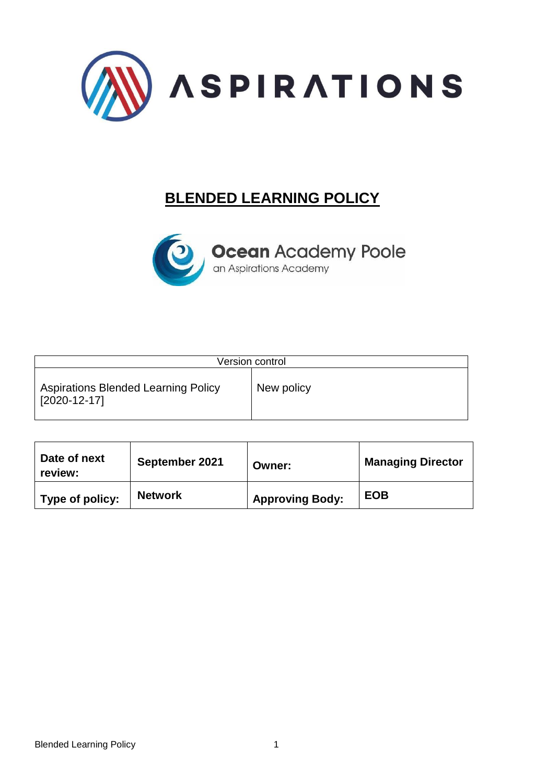

# **BLENDED LEARNING POLICY**



| Version control                                            |            |  |
|------------------------------------------------------------|------------|--|
| <b>Aspirations Blended Learning Policy</b><br>[2020-12-17] | New policy |  |

| Date of next<br>review: | September 2021 | Owner:                 | <b>Managing Director</b> |
|-------------------------|----------------|------------------------|--------------------------|
| Type of policy:         | <b>Network</b> | <b>Approving Body:</b> | <b>EOB</b>               |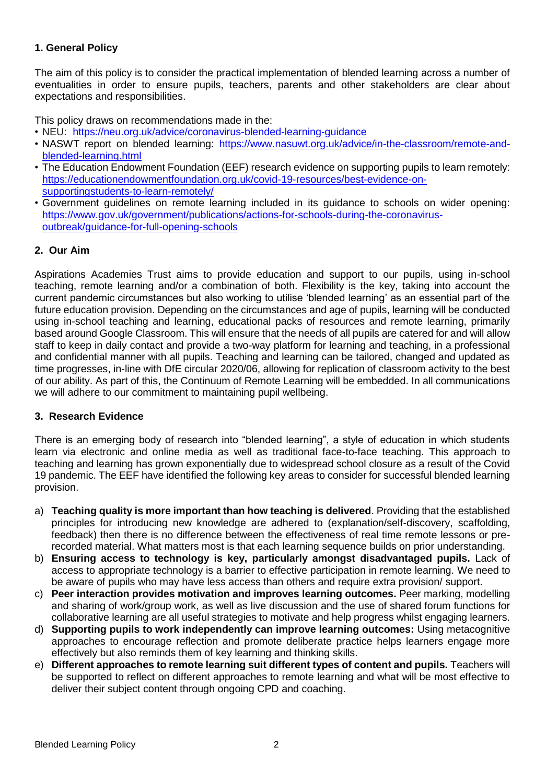## **1. General Policy**

The aim of this policy is to consider the practical implementation of blended learning across a number of eventualities in order to ensure pupils, teachers, parents and other stakeholders are clear about expectations and responsibilities.

This policy draws on recommendations made in the:

- NEU: <https://neu.org.uk/advice/coronavirus-blended-learning-guidance>
- NASWT report on blended learning: [https://www.nasuwt.org.uk/advice/in-the-classroom/remote-and](https://www.nasuwt.org.uk/advice/in-the-classroom/remote-and-blended-learning.html)[blended-learning.html](https://www.nasuwt.org.uk/advice/in-the-classroom/remote-and-blended-learning.html)
- The Education Endowment Foundation (EEF) research evidence on supporting pupils to learn remotely: [https://educationendowmentfoundation.org.uk/covid-19-resources/best-evidence-on](https://educationendowmentfoundation.org.uk/covid-19-resources/best-evidence-on-supportingstudents-to-learn-remotely/)[supportingstudents-to-learn-remotely/](https://educationendowmentfoundation.org.uk/covid-19-resources/best-evidence-on-supportingstudents-to-learn-remotely/)
- Government guidelines on remote learning included in its guidance to schools on wider opening: [https://www.gov.uk/government/publications/actions-for-schools-during-the-coronavirus](https://www.gov.uk/government/publications/actions-for-schools-during-the-coronavirus-outbreak/guidance-for-full-opening-schools)[outbreak/guidance-for-full-opening-schools](https://www.gov.uk/government/publications/actions-for-schools-during-the-coronavirus-outbreak/guidance-for-full-opening-schools)

## **2. Our Aim**

Aspirations Academies Trust aims to provide education and support to our pupils, using in-school teaching, remote learning and/or a combination of both. Flexibility is the key, taking into account the current pandemic circumstances but also working to utilise 'blended learning' as an essential part of the future education provision. Depending on the circumstances and age of pupils, learning will be conducted using in-school teaching and learning, educational packs of resources and remote learning, primarily based around Google Classroom. This will ensure that the needs of all pupils are catered for and will allow staff to keep in daily contact and provide a two-way platform for learning and teaching, in a professional and confidential manner with all pupils. Teaching and learning can be tailored, changed and updated as time progresses, in-line with DfE circular 2020/06, allowing for replication of classroom activity to the best of our ability. As part of this, the Continuum of Remote Learning will be embedded. In all communications we will adhere to our commitment to maintaining pupil wellbeing.

### **3. Research Evidence**

There is an emerging body of research into "blended learning", a style of education in which students learn via electronic and online media as well as traditional face-to-face teaching. This approach to teaching and learning has grown exponentially due to widespread school closure as a result of the Covid 19 pandemic. The EEF have identified the following key areas to consider for successful blended learning provision.

- a) **Teaching quality is more important than how teaching is delivered**. Providing that the established principles for introducing new knowledge are adhered to (explanation/self-discovery, scaffolding, feedback) then there is no difference between the effectiveness of real time remote lessons or prerecorded material. What matters most is that each learning sequence builds on prior understanding.
- b) **Ensuring access to technology is key, particularly amongst disadvantaged pupils.** Lack of access to appropriate technology is a barrier to effective participation in remote learning. We need to be aware of pupils who may have less access than others and require extra provision/ support.
- c) **Peer interaction provides motivation and improves learning outcomes.** Peer marking, modelling and sharing of work/group work, as well as live discussion and the use of shared forum functions for collaborative learning are all useful strategies to motivate and help progress whilst engaging learners.
- d) **Supporting pupils to work independently can improve learning outcomes:** Using metacognitive approaches to encourage reflection and promote deliberate practice helps learners engage more effectively but also reminds them of key learning and thinking skills.
- e) **Different approaches to remote learning suit different types of content and pupils.** Teachers will be supported to reflect on different approaches to remote learning and what will be most effective to deliver their subject content through ongoing CPD and coaching.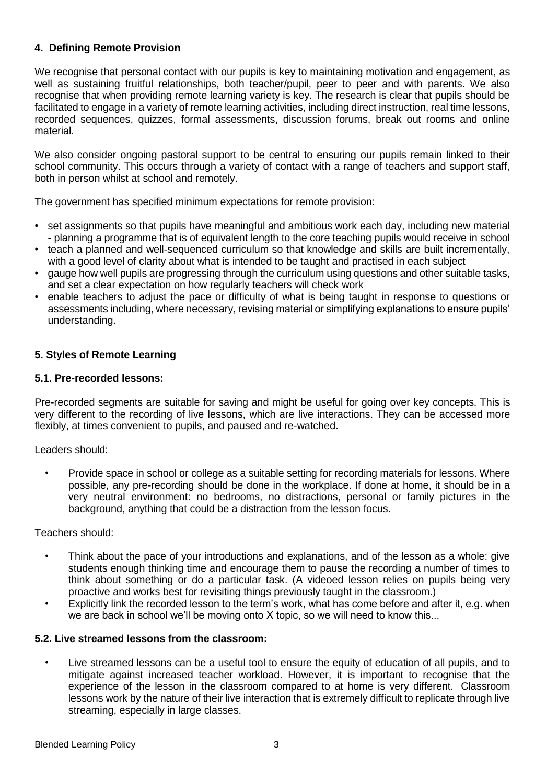## **4. Defining Remote Provision**

We recognise that personal contact with our pupils is key to maintaining motivation and engagement, as well as sustaining fruitful relationships, both teacher/pupil, peer to peer and with parents. We also recognise that when providing remote learning variety is key. The research is clear that pupils should be facilitated to engage in a variety of remote learning activities, including direct instruction, real time lessons, recorded sequences, quizzes, formal assessments, discussion forums, break out rooms and online material.

We also consider ongoing pastoral support to be central to ensuring our pupils remain linked to their school community. This occurs through a variety of contact with a range of teachers and support staff, both in person whilst at school and remotely.

The government has specified minimum expectations for remote provision:

- set assignments so that pupils have meaningful and ambitious work each day, including new material - planning a programme that is of equivalent length to the core teaching pupils would receive in school
- teach a planned and well-sequenced curriculum so that knowledge and skills are built incrementally, with a good level of clarity about what is intended to be taught and practised in each subject
- gauge how well pupils are progressing through the curriculum using questions and other suitable tasks, and set a clear expectation on how regularly teachers will check work
- enable teachers to adjust the pace or difficulty of what is being taught in response to questions or assessments including, where necessary, revising material or simplifying explanations to ensure pupils' understanding.

## **5. Styles of Remote Learning**

### **5.1. Pre-recorded lessons:**

Pre-recorded segments are suitable for saving and might be useful for going over key concepts. This is very different to the recording of live lessons, which are live interactions. They can be accessed more flexibly, at times convenient to pupils, and paused and re-watched.

Leaders should:

• Provide space in school or college as a suitable setting for recording materials for lessons. Where possible, any pre-recording should be done in the workplace. If done at home, it should be in a very neutral environment: no bedrooms, no distractions, personal or family pictures in the background, anything that could be a distraction from the lesson focus.

Teachers should:

- Think about the pace of your introductions and explanations, and of the lesson as a whole: give students enough thinking time and encourage them to pause the recording a number of times to think about something or do a particular task. (A videoed lesson relies on pupils being very proactive and works best for revisiting things previously taught in the classroom.)
- Explicitly link the recorded lesson to the term's work, what has come before and after it, e.g. when we are back in school we'll be moving onto X topic, so we will need to know this...

### **5.2. Live streamed lessons from the classroom:**

• Live streamed lessons can be a useful tool to ensure the equity of education of all pupils, and to mitigate against increased teacher workload. However, it is important to recognise that the experience of the lesson in the classroom compared to at home is very different. Classroom lessons work by the nature of their live interaction that is extremely difficult to replicate through live streaming, especially in large classes.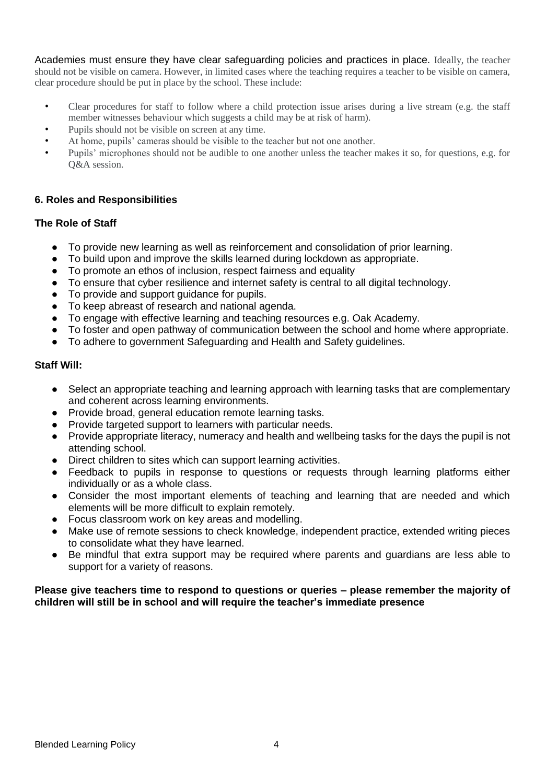Academies must ensure they have clear safeguarding policies and practices in place. Ideally, the teacher should not be visible on camera. However, in limited cases where the teaching requires a teacher to be visible on camera, clear procedure should be put in place by the school. These include:

- Clear procedures for staff to follow where a child protection issue arises during a live stream (e.g. the staff member witnesses behaviour which suggests a child may be at risk of harm).
- Pupils should not be visible on screen at any time.
- At home, pupils' cameras should be visible to the teacher but not one another.
- Pupils' microphones should not be audible to one another unless the teacher makes it so, for questions, e.g. for O&A session.

## **6. Roles and Responsibilities**

## **The Role of Staff**

- To provide new learning as well as reinforcement and consolidation of prior learning.
- To build upon and improve the skills learned during lockdown as appropriate.
- To promote an ethos of inclusion, respect fairness and equality
- To ensure that cyber resilience and internet safety is central to all digital technology.
- To provide and support quidance for pupils.
- To keep abreast of research and national agenda.
- To engage with effective learning and teaching resources e.g. Oak Academy.
- To foster and open pathway of communication between the school and home where appropriate.
- To adhere to government Safeguarding and Health and Safety quidelines.

### **Staff Will:**

- Select an appropriate teaching and learning approach with learning tasks that are complementary and coherent across learning environments.
- Provide broad, general education remote learning tasks.
- Provide targeted support to learners with particular needs.
- Provide appropriate literacy, numeracy and health and wellbeing tasks for the days the pupil is not attending school.
- Direct children to sites which can support learning activities.
- Feedback to pupils in response to questions or requests through learning platforms either individually or as a whole class.
- Consider the most important elements of teaching and learning that are needed and which elements will be more difficult to explain remotely.
- Focus classroom work on key areas and modelling.
- Make use of remote sessions to check knowledge, independent practice, extended writing pieces to consolidate what they have learned.
- Be mindful that extra support may be required where parents and guardians are less able to support for a variety of reasons.

### **Please give teachers time to respond to questions or queries – please remember the majority of children will still be in school and will require the teacher's immediate presence**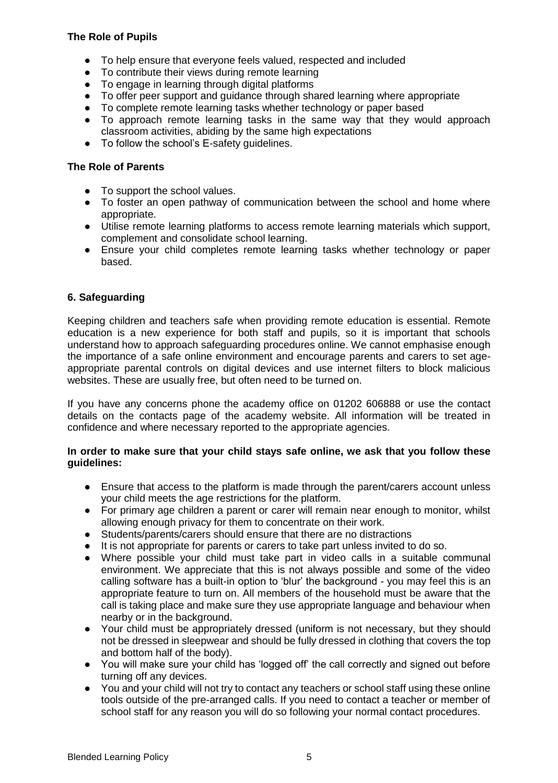## **The Role of Pupils**

- To help ensure that everyone feels valued, respected and included
- To contribute their views during remote learning
- To engage in learning through digital platforms
- To offer peer support and guidance through shared learning where appropriate
- To complete remote learning tasks whether technology or paper based
- To approach remote learning tasks in the same way that they would approach classroom activities, abiding by the same high expectations
- To follow the school's E-safety guidelines.

### **The Role of Parents**

- To support the school values.
- To foster an open pathway of communication between the school and home where appropriate.
- Utilise remote learning platforms to access remote learning materials which support, complement and consolidate school learning.
- Ensure your child completes remote learning tasks whether technology or paper based.

## **6. Safeguarding**

Keeping children and teachers safe when providing remote education is essential. Remote education is a new experience for both staff and pupils, so it is important that schools understand how to approach safeguarding procedures online. We cannot emphasise enough the importance of a safe online environment and encourage parents and carers to set ageappropriate parental controls on digital devices and use internet filters to block malicious websites. These are usually free, but often need to be turned on.

If you have any concerns phone the academy office on 01202 606888 or use the contact details on the contacts page of the academy website. All information will be treated in confidence and where necessary reported to the appropriate agencies.

### **In order to make sure that your child stays safe online, we ask that you follow these guidelines:**

- Ensure that access to the platform is made through the parent/carers account unless your child meets the age restrictions for the platform.
- For primary age children a parent or carer will remain near enough to monitor, whilst allowing enough privacy for them to concentrate on their work.
- Students/parents/carers should ensure that there are no distractions
- It is not appropriate for parents or carers to take part unless invited to do so.
- Where possible your child must take part in video calls in a suitable communal environment. We appreciate that this is not always possible and some of the video calling software has a built-in option to 'blur' the background - you may feel this is an appropriate feature to turn on. All members of the household must be aware that the call is taking place and make sure they use appropriate language and behaviour when nearby or in the background.
- Your child must be appropriately dressed (uniform is not necessary, but they should not be dressed in sleepwear and should be fully dressed in clothing that covers the top and bottom half of the body).
- You will make sure your child has 'logged off' the call correctly and signed out before turning off any devices.
- You and your child will not try to contact any teachers or school staff using these online tools outside of the pre-arranged calls. If you need to contact a teacher or member of school staff for any reason you will do so following your normal contact procedures.